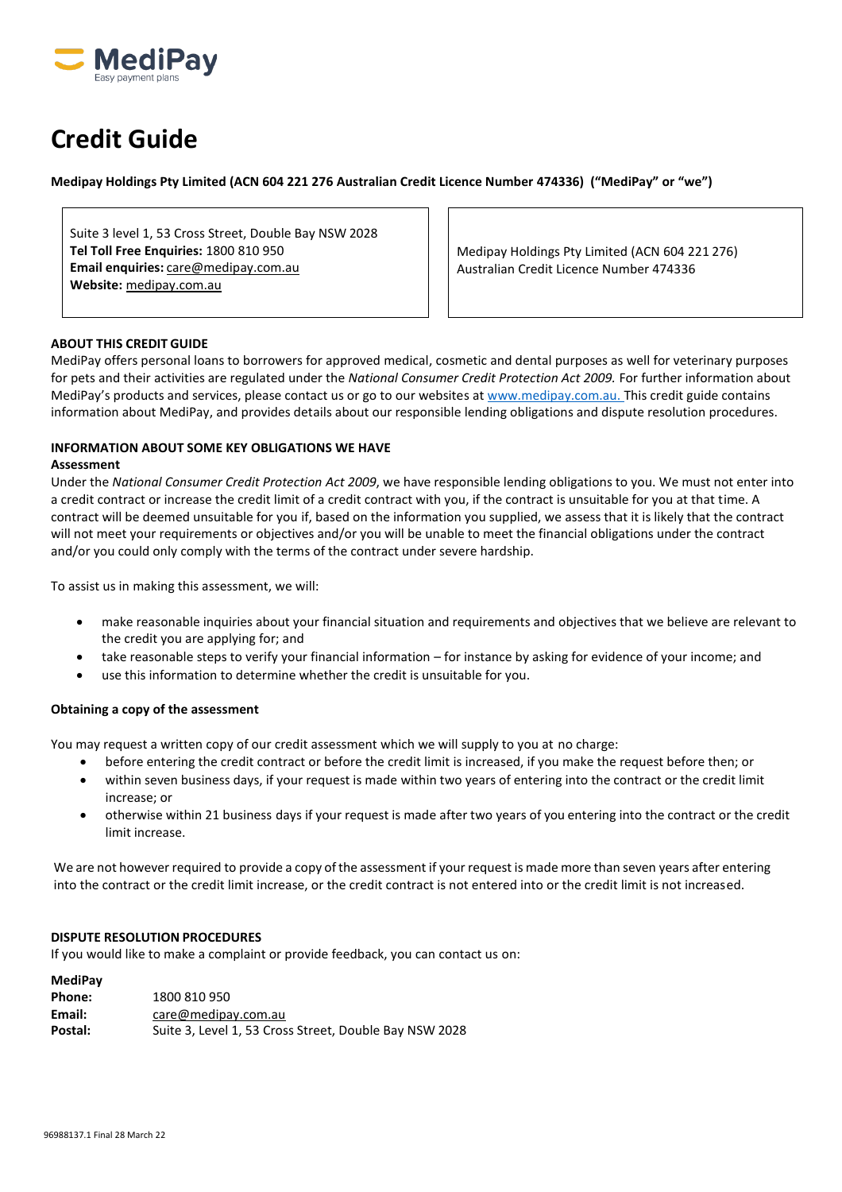

# **Credit Guide**

**Medipay Holdings Pty Limited (ACN 604 221 276 Australian Credit Licence Number 474336) ("MediPay" or "we")**

Suite 3 level 1, 53 Cross Street, Double Bay NSW 2028 **Tel Toll Free Enquiries:** 1800 810 950 **Email enquiries:** [care@medipay.com.au](mailto:care@medipay.com.au) **Website:** [medipay.com.au](https://medipay.com.au/)

Medipay Holdings Pty Limited (ACN 604 221 276) Australian Credit Licence Number 474336

# **ABOUT THIS CREDIT GUIDE**

MediPay offers personal loans to borrowers for approved medical, cosmetic and dental purposes as well for veterinary purposes for pets and their activities are regulated under the *National Consumer Credit Protection Act 2009.* For further information about MediPay's products and services, please contact us or go to our websites at www.medipay.com.au. This credit guide contains information about MediPay, and provides details about our responsible lending obligations and dispute resolution procedures.

# **INFORMATION ABOUT SOME KEY OBLIGATIONS WE HAVE**

#### **Assessment**

Under the *National Consumer Credit Protection Act 2009*, we have responsible lending obligations to you. We must not enter into a credit contract or increase the credit limit of a credit contract with you, if the contract is unsuitable for you at that time. A contract will be deemed unsuitable for you if, based on the information you supplied, we assess that it is likely that the contract will not meet your requirements or objectives and/or you will be unable to meet the financial obligations under the contract and/or you could only comply with the terms of the contract under severe hardship.

To assist us in making this assessment, we will:

- make reasonable inquiries about your financial situation and requirements and objectives that we believe are relevant to the credit you are applying for; and
- take reasonable steps to verify your financial information for instance by asking for evidence of your income; and
- use this information to determine whether the credit is unsuitable for you.

# **Obtaining a copy of the assessment**

You may request a written copy of our credit assessment which we will supply to you at no charge:

- before entering the credit contract or before the credit limit is increased, if you make the request before then; or • within seven business days, if your request is made within two years of entering into the contract or the credit limit
- increase; or
- otherwise within 21 business days if your request is made after two years of you entering into the contract or the credit limit increase.

We are not however required to provide a copy of the assessment if your request is made more than seven years after entering into the contract or the credit limit increase, or the credit contract is not entered into or the credit limit is not increased.

# **DISPUTE RESOLUTION PROCEDURES**

If you would like to make a complaint or provide feedback, you can contact us on:

| MediPav |                                                        |
|---------|--------------------------------------------------------|
| Phone:  | 1800 810 950                                           |
| Email:  | care@medipay.com.au                                    |
| Postal: | Suite 3, Level 1, 53 Cross Street, Double Bay NSW 2028 |
|         |                                                        |